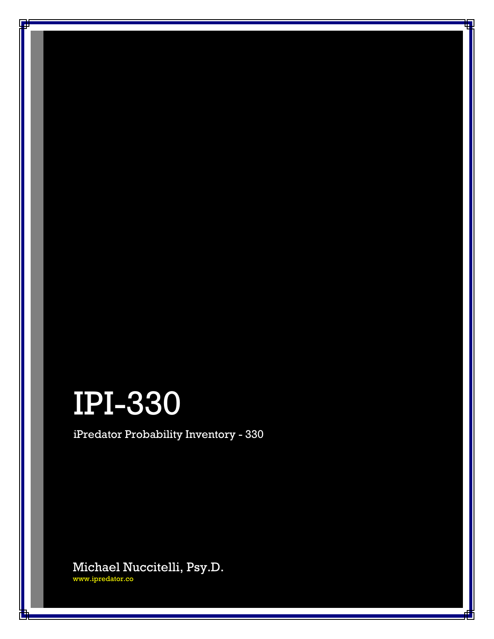# IPI-330

iPredator Probability Inventory - 330

Michael Nuccitelli, Psy.D. [www.ipredator.co](https://www.ipredator.co/)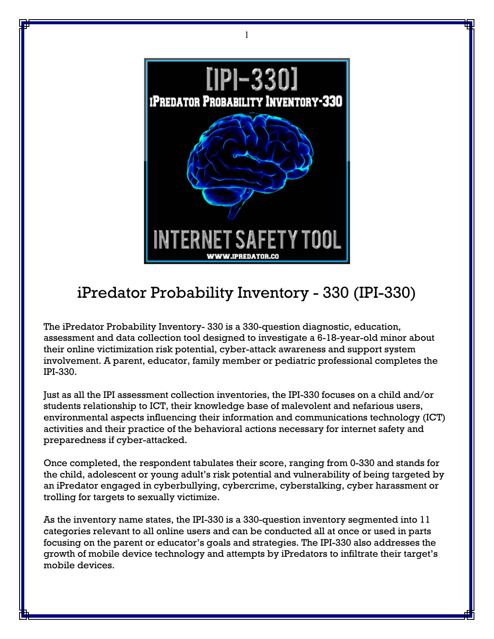

1

# iPredator Probability Inventory - 330 (IPI-330)

The iPredator Probability Inventory- 330 is a 330-question diagnostic, education, assessment and data collection tool designed to investigate a 6-18-year-old minor about their online victimization risk potential, cyber-attack awareness and support system involvement. A parent, educator, family member or pediatric professional completes the IPI-330.

Just as all the IPI assessment collection inventories, the IPI-330 focuses on a child and/or students relationship to ICT, their knowledge base of malevolent and nefarious users, environmental aspects influencing their information and communications technology (ICT) activities and their practice of the behavioral actions necessary for internet safety and preparedness if cyber-attacked.

Once completed, the respondent tabulates their score, ranging from 0-330 and stands for the child, adolescent or young adult's risk potential and vulnerability of being targeted by an iPredator engaged in cyberbullying, cybercrime, cyberstalking, cyber harassment or trolling for targets to sexually victimize.

As the inventory name states, the IPI-330 is a 330-question inventory segmented into 11 categories relevant to all online users and can be conducted all at once or used in parts focusing on the parent or educator's goals and strategies. The IPI-330 also addresses the growth of mobile device technology and attempts by iPredators to infiltrate their target's mobile devices.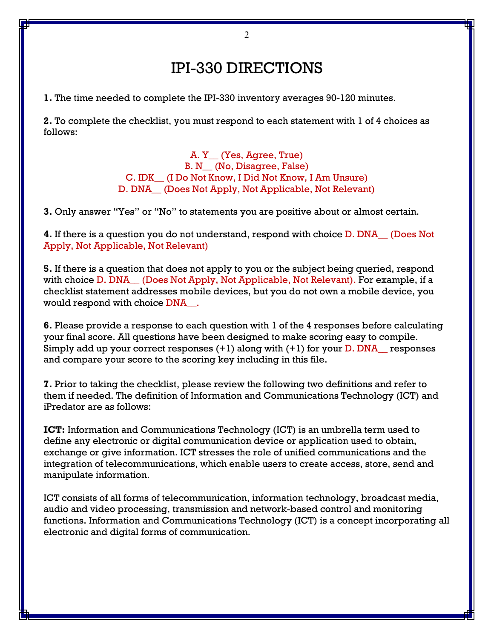# IPI-330 DIRECTIONS

**1.** The time needed to complete the IPI-330 inventory averages 90-120 minutes.

**2.** To complete the checklist, you must respond to each statement with 1 of 4 choices as follows:

> A. Y\_\_ (Yes, Agree, True) B. N\_\_ (No, Disagree, False) C. IDK\_\_ (I Do Not Know, I Did Not Know, I Am Unsure) D. DNA\_\_ (Does Not Apply, Not Applicable, Not Relevant)

**3.** Only answer "Yes" or "No" to statements you are positive about or almost certain.

**4.** If there is a question you do not understand, respond with choice D. DNA\_\_ (Does Not Apply, Not Applicable, Not Relevant)

**5.** If there is a question that does not apply to you or the subject being queried, respond with choice D. DNA — (Does Not Apply, Not Applicable, Not Relevant). For example, if a checklist statement addresses mobile devices, but you do not own a mobile device, you would respond with choice DNA\_\_.

**6.** Please provide a response to each question with 1 of the 4 responses before calculating your final score. All questions have been designed to make scoring easy to compile. Simply add up your correct responses  $(+1)$  along with  $(+1)$  for your D. DNA responses and compare your score to the scoring key including in this file.

**7.** Prior to taking the checklist, please review the following two definitions and refer to them if needed. The definition of Information and Communications Technology (ICT) and iPredator are as follows:

**ICT:** Information and Communications Technology (ICT) is an umbrella term used to define any electronic or digital communication device or application used to obtain, exchange or give information. ICT stresses the role of unified communications and the integration of telecommunications, which enable users to create access, store, send and manipulate information.

ICT consists of all forms of telecommunication, information technology, broadcast media, audio and video processing, transmission and network-based control and monitoring functions. Information and Communications Technology (ICT) is a concept incorporating all electronic and digital forms of communication.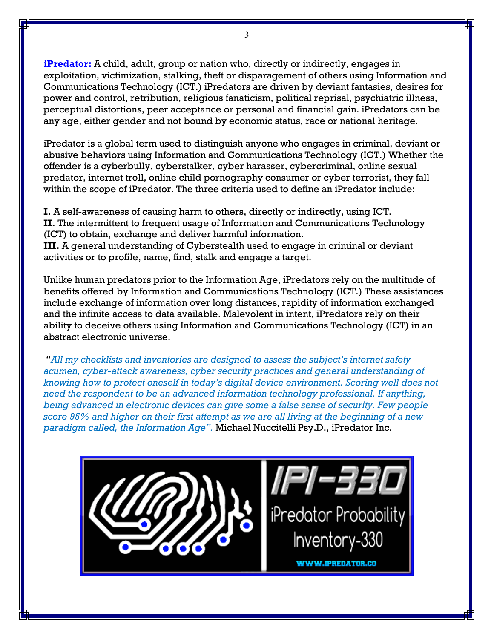**[iPredator:](https://www.ipredator.co/ipredator/)** A child, adult, group or nation who, directly or indirectly, engages in exploitation, victimization, stalking, theft or disparagement of others using Information and Communications Technology (ICT.) iPredators are driven by deviant fantasies, desires for power and control, retribution, religious fanaticism, political reprisal, psychiatric illness, perceptual distortions, peer acceptance or personal and financial gain. iPredators can be any age, either gender and not bound by economic status, race or national heritage.

iPredator is a global term used to distinguish anyone who engages in criminal, deviant or abusive behaviors using Information and Communications Technology (ICT.) Whether the offender is a cyberbully, cyberstalker, cyber harasser, cybercriminal, online sexual predator, internet troll, online child pornography consumer or cyber terrorist, they fall within the scope of iPredator. The three criteria used to define an iPredator include:

**I.** A self-awareness of causing harm to others, directly or indirectly, using ICT. **II.** The intermittent to frequent usage of Information and Communications Technology (ICT) to obtain, exchange and deliver harmful information.

**III.** A general understanding of Cyberstealth used to engage in criminal or deviant activities or to profile, name, find, stalk and engage a target.

Unlike human predators prior to the Information Age, iPredators rely on the multitude of benefits offered by Information and Communications Technology (ICT.) These assistances include exchange of information over long distances, rapidity of information exchanged and the infinite access to data available. Malevolent in intent, iPredators rely on their ability to deceive others using Information and Communications Technology (ICT) in an abstract electronic universe.

"*All my checklists and inventories are designed to assess the subject's internet safety acumen, cyber-attack awareness, cyber security practices and general understanding of knowing how to protect oneself in today's digital device environment. Scoring well does not need the respondent to be an advanced information technology professional. If anything, being advanced in electronic devices can give some a false sense of security. Few people score 95% and higher on their first attempt as we are all living at the beginning of a new paradigm called, the Information Age".* Michael Nuccitelli Psy.D., iPredator Inc.

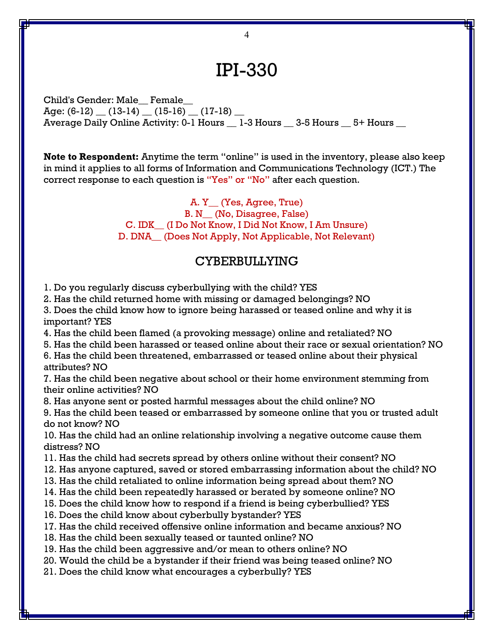# IPI-330

Child's Gender: Male\_\_ Female\_\_ Age:  $(6-12)$   $(13-14)$   $(15-16)$   $(17-18)$ Average Daily Online Activity: 0-1 Hours \_ 1-3 Hours \_ 3-5 Hours \_ 5+ Hours \_

**Note to Respondent:** Anytime the term "online" is used in the inventory, please also keep in mind it applies to all forms of Information and Communications Technology (ICT.) The correct response to each question is "Yes" or "No" after each question.

> A. Y\_\_ (Yes, Agree, True) B. N (No, Disagree, False) C. IDK\_\_ (I Do Not Know, I Did Not Know, I Am Unsure) D. DNA\_\_ (Does Not Apply, Not Applicable, Not Relevant)

#### CYBERBULLYING

1. Do you regularly discuss cyberbullying with the child? YES

2. Has the child returned home with missing or damaged belongings? NO

3. Does the child know how to ignore being harassed or teased online and why it is important? YES

4. Has the child been flamed (a provoking message) online and retaliated? NO

5. Has the child been harassed or teased online about their race or sexual orientation? NO

6. Has the child been threatened, embarrassed or teased online about their physical attributes? NO

7. Has the child been negative about school or their home environment stemming from their online activities? NO

8. Has anyone sent or posted harmful messages about the child online? NO

9. Has the child been teased or embarrassed by someone online that you or trusted adult do not know? NO

10. Has the child had an online relationship involving a negative outcome cause them distress? NO

- 11. Has the child had secrets spread by others online without their consent? NO
- 12. Has anyone captured, saved or stored embarrassing information about the child? NO
- 13. Has the child retaliated to online information being spread about them? NO
- 14. Has the child been repeatedly harassed or berated by someone online? NO
- 15. Does the child know how to respond if a friend is being cyberbullied? YES
- 16. Does the child know about cyberbully bystander? YES
- 17. Has the child received offensive online information and became anxious? NO
- 18. Has the child been sexually teased or taunted online? NO
- 19. Has the child been aggressive and/or mean to others online? NO
- 20. Would the child be a bystander if their friend was being teased online? NO
- 21. Does the child know what encourages a cyberbully? YES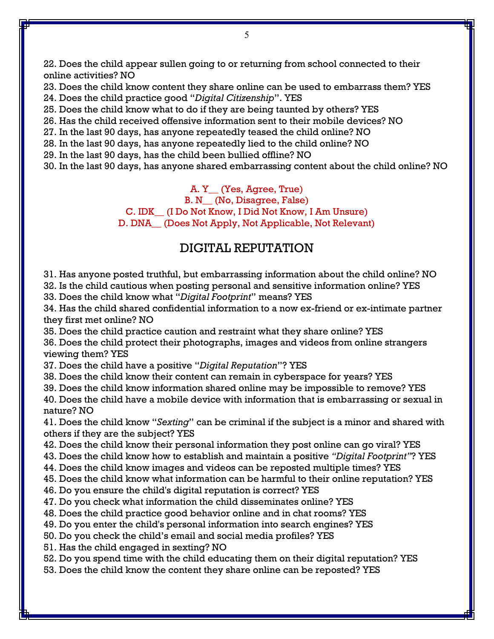22. Does the child appear sullen going to or returning from school connected to their online activities? NO

23. Does the child know content they share online can be used to embarrass them? YES 24. Does the child practice good "*Digital Citizenship*". YES

25. Does the child know what to do if they are being taunted by others? YES

26. Has the child received offensive information sent to their mobile devices? NO

27. In the last 90 days, has anyone repeatedly teased the child online? NO

28. In the last 90 days, has anyone repeatedly lied to the child online? NO

29. In the last 90 days, has the child been bullied offline? NO

30. In the last 90 days, has anyone shared embarrassing content about the child online? NO

A. Y\_\_ (Yes, Agree, True) B. N (No, Disagree, False) C. IDK\_\_ (I Do Not Know, I Did Not Know, I Am Unsure) D. DNA (Does Not Apply, Not Applicable, Not Relevant)

#### DIGITAL REPUTATION

31. Has anyone posted truthful, but embarrassing information about the child online? NO

32. Is the child cautious when posting personal and sensitive information online? YES

33. Does the child know what "*Digital Footprint*" means? YES

34. Has the child shared confidential information to a now ex-friend or ex-intimate partner they first met online? NO

35. Does the child practice caution and restraint what they share online? YES

36. Does the child protect their photographs, images and videos from online strangers viewing them? YES

37. Does the child have a positive "*Digital Reputation*"? YES

38. Does the child know their content can remain in cyberspace for years? YES

39. Does the child know information shared online may be impossible to remove? YES

40. Does the child have a mobile device with information that is embarrassing or sexual in nature? NO

41. Does the child know "*Sexting*" can be criminal if the subject is a minor and shared with others if they are the subject? YES

42. Does the child know their personal information they post online can go viral? YES

43. Does the child know how to establish and maintain a positive *"Digital Footprint"*? YES

44. Does the child know images and videos can be reposted multiple times? YES

45. Does the child know what information can be harmful to their online reputation? YES

46. Do you ensure the child's digital reputation is correct? YES

47. Do you check what information the child disseminates online? YES

48. Does the child practice good behavior online and in chat rooms? YES

49. Do you enter the child's personal information into search engines? YES

50. Do you check the child's email and social media profiles? YES

51. Has the child engaged in sexting? NO

52. Do you spend time with the child educating them on their digital reputation? YES

53. Does the child know the content they share online can be reposted? YES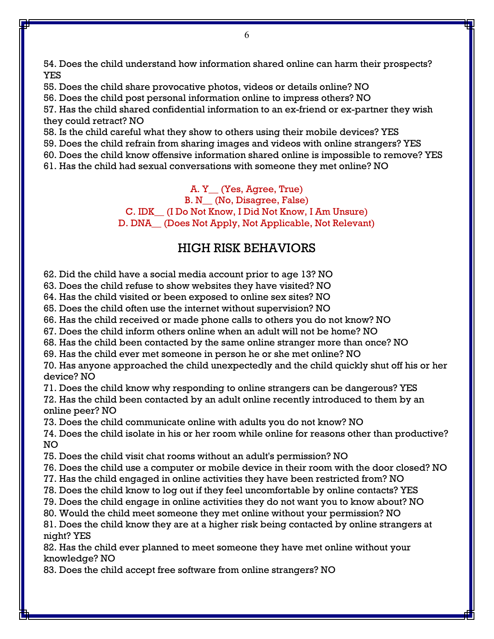54. Does the child understand how information shared online can harm their prospects? YES

55. Does the child share provocative photos, videos or details online? NO

56. Does the child post personal information online to impress others? NO

57. Has the child shared confidential information to an ex-friend or ex-partner they wish they could retract? NO

58. Is the child careful what they show to others using their mobile devices? YES

59. Does the child refrain from sharing images and videos with online strangers? YES

60. Does the child know offensive information shared online is impossible to remove? YES

61. Has the child had sexual conversations with someone they met online? NO

A. Y\_\_ (Yes, Agree, True) B. N (No, Disagree, False) C. IDK\_\_ (I Do Not Know, I Did Not Know, I Am Unsure) D. DNA (Does Not Apply, Not Applicable, Not Relevant)

## HIGH RISK BEHAVIORS

62. Did the child have a social media account prior to age 13? NO

63. Does the child refuse to show websites they have visited? NO

64. Has the child visited or been exposed to online sex sites? NO

65. Does the child often use the internet without supervision? NO

66. Has the child received or made phone calls to others you do not know? NO

67. Does the child inform others online when an adult will not be home? NO

68. Has the child been contacted by the same online stranger more than once? NO

69. Has the child ever met someone in person he or she met online? NO

70. Has anyone approached the child unexpectedly and the child quickly shut off his or her device? NO

71. Does the child know why responding to online strangers can be dangerous? YES

72. Has the child been contacted by an adult online recently introduced to them by an online peer? NO

73. Does the child communicate online with adults you do not know? NO

74. Does the child isolate in his or her room while online for reasons other than productive? NO

75. Does the child visit chat rooms without an adult's permission? NO

76. Does the child use a computer or mobile device in their room with the door closed? NO

77. Has the child engaged in online activities they have been restricted from? NO

78. Does the child know to log out if they feel uncomfortable by online contacts? YES

79. Does the child engage in online activities they do not want you to know about? NO

80. Would the child meet someone they met online without your permission? NO

81. Does the child know they are at a higher risk being contacted by online strangers at night? YES

82. Has the child ever planned to meet someone they have met online without your knowledge? NO

83. Does the child accept free software from online strangers? NO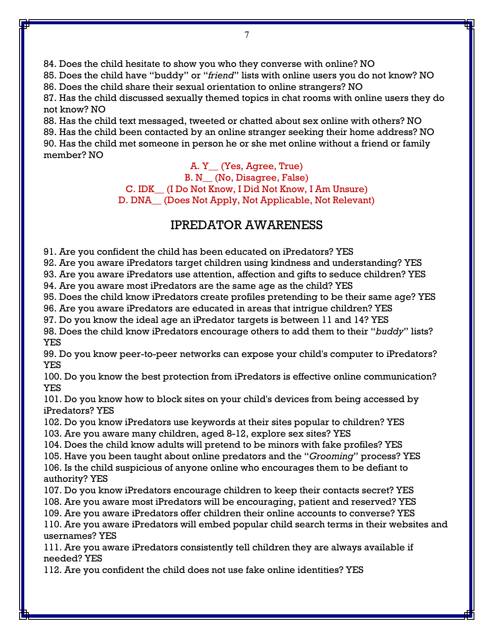84. Does the child hesitate to show you who they converse with online? NO

85. Does the child have "buddy" or "*friend*" lists with online users you do not know? NO

86. Does the child share their sexual orientation to online strangers? NO

87. Has the child discussed sexually themed topics in chat rooms with online users they do not know? NO

88. Has the child text messaged, tweeted or chatted about sex online with others? NO

89. Has the child been contacted by an online stranger seeking their home address? NO 90. Has the child met someone in person he or she met online without a friend or family member? NO

> A. Y\_\_ (Yes, Agree, True) B. N\_\_ (No, Disagree, False) C. IDK\_\_ (I Do Not Know, I Did Not Know, I Am Unsure) D. DNA\_\_ (Does Not Apply, Not Applicable, Not Relevant)

## IPREDATOR AWARENESS

91. Are you confident the child has been educated on iPredators? YES

92. Are you aware iPredators target children using kindness and understanding? YES

93. Are you aware iPredators use attention, affection and gifts to seduce children? YES

94. Are you aware most iPredators are the same age as the child? YES

95. Does the child know iPredators create profiles pretending to be their same age? YES

96. Are you aware iPredators are educated in areas that intrigue children? YES

97. Do you know the ideal age an iPredator targets is between 11 and 14? YES

98. Does the child know iPredators encourage others to add them to their "*buddy*" lists? YES

99. Do you know peer-to-peer networks can expose your child's computer to iPredators? YES

100. Do you know the best protection from iPredators is effective online communication? YES

101. Do you know how to block sites on your child's devices from being accessed by iPredators? YES

102. Do you know iPredators use keywords at their sites popular to children? YES 103. Are you aware many children, aged 8-12, explore sex sites? YES

104. Does the child know adults will pretend to be minors with fake profiles? YES

105. Have you been taught about online predators and the "*Grooming*" process? YES 106. Is the child suspicious of anyone online who encourages them to be defiant to authority? YES

107. Do you know iPredators encourage children to keep their contacts secret? YES

108. Are you aware most iPredators will be encouraging, patient and reserved? YES

109. Are you aware iPredators offer children their online accounts to converse? YES

110. Are you aware iPredators will embed popular child search terms in their websites and usernames? YES

111. Are you aware iPredators consistently tell children they are always available if needed? YES

112. Are you confident the child does not use fake online identities? YES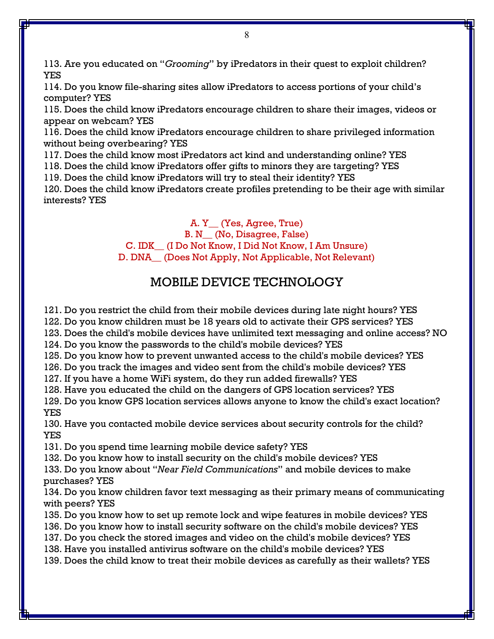113. Are you educated on "*Grooming*" by iPredators in their quest to exploit children? YES

114. Do you know file-sharing sites allow iPredators to access portions of your child's computer? YES

115. Does the child know iPredators encourage children to share their images, videos or appear on webcam? YES

116. Does the child know iPredators encourage children to share privileged information without being overbearing? YES

117. Does the child know most iPredators act kind and understanding online? YES

118. Does the child know iPredators offer gifts to minors they are targeting? YES

119. Does the child know iPredators will try to steal their identity? YES

120. Does the child know iPredators create profiles pretending to be their age with similar interests? YES

A. Y\_\_ (Yes, Agree, True)

B. N\_\_ (No, Disagree, False)

C. IDK\_\_ (I Do Not Know, I Did Not Know, I Am Unsure)

D. DNA\_\_ (Does Not Apply, Not Applicable, Not Relevant)

## MOBILE DEVICE TECHNOLOGY

121. Do you restrict the child from their mobile devices during late night hours? YES

122. Do you know children must be 18 years old to activate their GPS services? YES

123. Does the child's mobile devices have unlimited text messaging and online access? NO

124. Do you know the passwords to the child's mobile devices? YES

125. Do you know how to prevent unwanted access to the child's mobile devices? YES

126. Do you track the images and video sent from the child's mobile devices? YES

127. If you have a home WiFi system, do they run added firewalls? YES

128. Have you educated the child on the dangers of GPS location services? YES

129. Do you know GPS location services allows anyone to know the child's exact location? YES

130. Have you contacted mobile device services about security controls for the child? YES

131. Do you spend time learning mobile device safety? YES

132. Do you know how to install security on the child's mobile devices? YES

133. Do you know about "*Near Field Communications*" and mobile devices to make purchases? YES

134. Do you know children favor text messaging as their primary means of communicating with peers? YES

135. Do you know how to set up remote lock and wipe features in mobile devices? YES

136. Do you know how to install security software on the child's mobile devices? YES

137. Do you check the stored images and video on the child's mobile devices? YES

138. Have you installed antivirus software on the child's mobile devices? YES

139. Does the child know to treat their mobile devices as carefully as their wallets? YES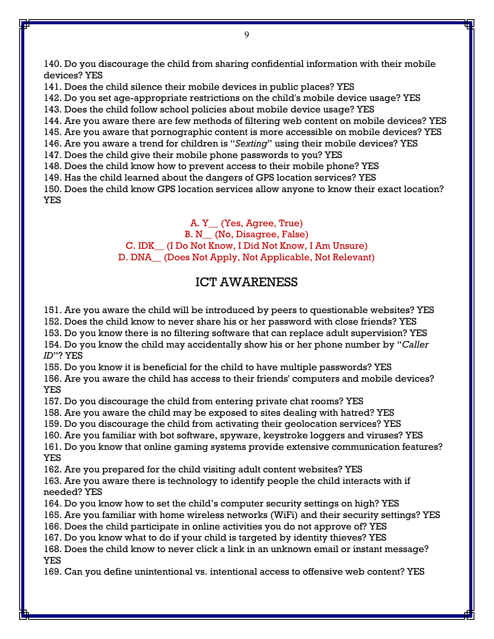140. Do you discourage the child from sharing confidential information with their mobile devices? YES

141. Does the child silence their mobile devices in public places? YES

142. Do you set age-appropriate restrictions on the child's mobile device usage? YES

143. Does the child follow school policies about mobile device usage? YES

144. Are you aware there are few methods of filtering web content on mobile devices? YES

145. Are you aware that pornographic content is more accessible on mobile devices? YES

146. Are you aware a trend for children is "*Sexting*" using their mobile devices? YES

147. Does the child give their mobile phone passwords to you? YES

148. Does the child know how to prevent access to their mobile phone? YES

149. Has the child learned about the dangers of GPS location services? YES

150. Does the child know GPS location services allow anyone to know their exact location? YES

> A. Y\_\_ (Yes, Agree, True) B. N\_\_ (No, Disagree, False) C. IDK\_\_ (I Do Not Know, I Did Not Know, I Am Unsure) D. DNA\_\_ (Does Not Apply, Not Applicable, Not Relevant)

## ICT AWARENESS

151. Are you aware the child will be introduced by peers to questionable websites? YES

152. Does the child know to never share his or her password with close friends? YES

153. Do you know there is no filtering software that can replace adult supervision? YES 154. Do you know the child may accidentally show his or her phone number by "*Caller ID*"? YES

155. Do you know it is beneficial for the child to have multiple passwords? YES

156. Are you aware the child has access to their friends' computers and mobile devices? YES

157. Do you discourage the child from entering private chat rooms? YES

158. Are you aware the child may be exposed to sites dealing with hatred? YES

159. Do you discourage the child from activating their geolocation services? YES

160. Are you familiar with bot software, spyware, keystroke loggers and viruses? YES

161. Do you know that online gaming systems provide extensive communication features? YES

162. Are you prepared for the child visiting adult content websites? YES

163. Are you aware there is technology to identify people the child interacts with if needed? YES

164. Do you know how to set the child's computer security settings on high? YES

165. Are you familiar with home wireless networks (WiFi) and their security settings? YES

166. Does the child participate in online activities you do not approve of? YES

167. Do you know what to do if your child is targeted by identity thieves? YES

168. Does the child know to never click a link in an unknown email or instant message? YES

169. Can you define unintentional vs. intentional access to offensive web content? YES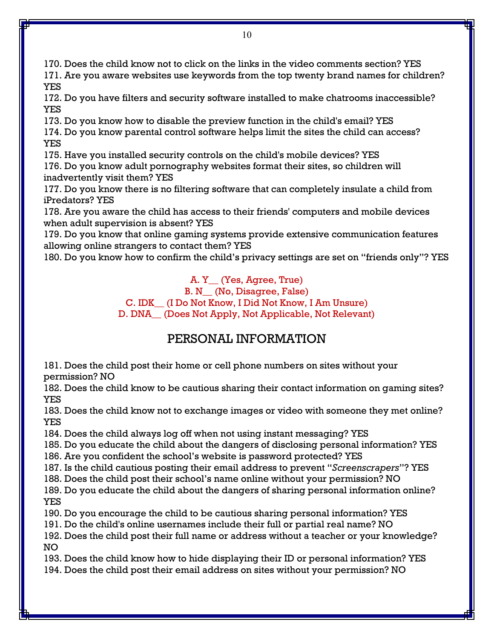170. Does the child know not to click on the links in the video comments section? YES 171. Are you aware websites use keywords from the top twenty brand names for children? YES

172. Do you have filters and security software installed to make chatrooms inaccessible? YES

173. Do you know how to disable the preview function in the child's email? YES

174. Do you know parental control software helps limit the sites the child can access? YES

175. Have you installed security controls on the child's mobile devices? YES

176. Do you know adult pornography websites format their sites, so children will inadvertently visit them? YES

177. Do you know there is no filtering software that can completely insulate a child from iPredators? YES

178. Are you aware the child has access to their friends' computers and mobile devices when adult supervision is absent? YES

179. Do you know that online gaming systems provide extensive communication features allowing online strangers to contact them? YES

180. Do you know how to confirm the child's privacy settings are set on "friends only"? YES

A. Y\_\_ (Yes, Agree, True)

B. N\_\_ (No, Disagree, False)

C. IDK\_\_ (I Do Not Know, I Did Not Know, I Am Unsure)

D. DNA\_\_ (Does Not Apply, Not Applicable, Not Relevant)

## PERSONAL INFORMATION

181. Does the child post their home or cell phone numbers on sites without your permission? NO

182. Does the child know to be cautious sharing their contact information on gaming sites? YES

183. Does the child know not to exchange images or video with someone they met online? YES

184. Does the child always log off when not using instant messaging? YES

185. Do you educate the child about the dangers of disclosing personal information? YES

186. Are you confident the school's website is password protected? YES

187. Is the child cautious posting their email address to prevent "*Screenscrapers*"? YES

188. Does the child post their school's name online without your permission? NO

189. Do you educate the child about the dangers of sharing personal information online? YES

190. Do you encourage the child to be cautious sharing personal information? YES

191. Do the child's online usernames include their full or partial real name? NO

192. Does the child post their full name or address without a teacher or your knowledge? NO

193. Does the child know how to hide displaying their ID or personal information? YES

194. Does the child post their email address on sites without your permission? NO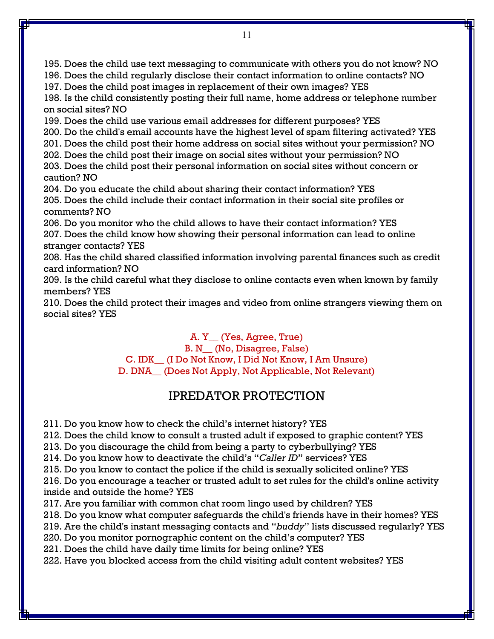195. Does the child use text messaging to communicate with others you do not know? NO 196. Does the child regularly disclose their contact information to online contacts? NO 197. Does the child post images in replacement of their own images? YES 198. Is the child consistently posting their full name, home address or telephone number on social sites? NO 199. Does the child use various email addresses for different purposes? YES 200. Do the child's email accounts have the highest level of spam filtering activated? YES 201. Does the child post their home address on social sites without your permission? NO 202. Does the child post their image on social sites without your permission? NO 203. Does the child post their personal information on social sites without concern or caution? NO 204. Do you educate the child about sharing their contact information? YES 205. Does the child include their contact information in their social site profiles or comments? NO 206. Do you monitor who the child allows to have their contact information? YES 207. Does the child know how showing their personal information can lead to online stranger contacts? YES 208. Has the child shared classified information involving parental finances such as credit card information? NO

209. Is the child careful what they disclose to online contacts even when known by family members? YES

210. Does the child protect their images and video from online strangers viewing them on social sites? YES

> A. Y\_\_ (Yes, Agree, True) B. N\_\_ (No, Disagree, False) C. IDK\_\_ (I Do Not Know, I Did Not Know, I Am Unsure) D. DNA\_\_ (Does Not Apply, Not Applicable, Not Relevant)

### IPREDATOR PROTECTION

211. Do you know how to check the child's internet history? YES

212. Does the child know to consult a trusted adult if exposed to graphic content? YES

213. Do you discourage the child from being a party to cyberbullying? YES

214. Do you know how to deactivate the child's "*Caller ID*" services? YES

215. Do you know to contact the police if the child is sexually solicited online? YES

216. Do you encourage a teacher or trusted adult to set rules for the child's online activity inside and outside the home? YES

217. Are you familiar with common chat room lingo used by children? YES

218. Do you know what computer safeguards the child's friends have in their homes? YES

219. Are the child's instant messaging contacts and "*buddy*" lists discussed regularly? YES

220. Do you monitor pornographic content on the child's computer? YES

221. Does the child have daily time limits for being online? YES

222. Have you blocked access from the child visiting adult content websites? YES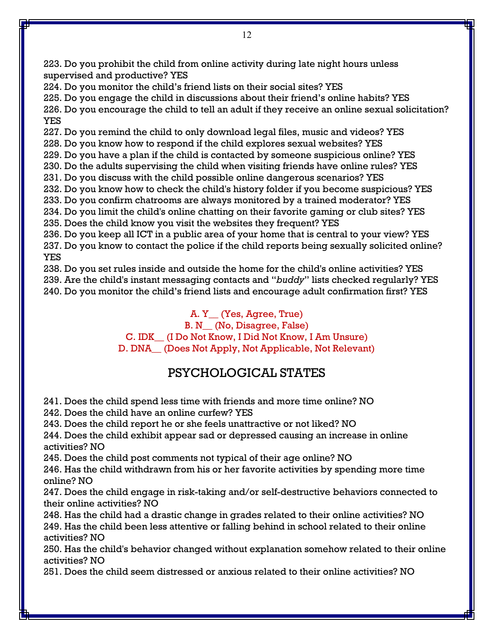223. Do you prohibit the child from online activity during late night hours unless supervised and productive? YES

224. Do you monitor the child's friend lists on their social sites? YES

225. Do you engage the child in discussions about their friend's online habits? YES

226. Do you encourage the child to tell an adult if they receive an online sexual solicitation? YES

227. Do you remind the child to only download legal files, music and videos? YES

228. Do you know how to respond if the child explores sexual websites? YES

229. Do you have a plan if the child is contacted by someone suspicious online? YES

230. Do the adults supervising the child when visiting friends have online rules? YES

231. Do you discuss with the child possible online dangerous scenarios? YES

232. Do you know how to check the child's history folder if you become suspicious? YES

233. Do you confirm chatrooms are always monitored by a trained moderator? YES

234. Do you limit the child's online chatting on their favorite gaming or club sites? YES 235. Does the child know you visit the websites they frequent? YES

236. Do you keep all ICT in a public area of your home that is central to your view? YES 237. Do you know to contact the police if the child reports being sexually solicited online? YES

238. Do you set rules inside and outside the home for the child's online activities? YES 239. Are the child's instant messaging contacts and "*buddy*" lists checked regularly? YES

240. Do you monitor the child's friend lists and encourage adult confirmation first? YES

A. Y\_\_ (Yes, Agree, True)

B. N (No, Disagree, False)

C. IDK\_\_ (I Do Not Know, I Did Not Know, I Am Unsure)

D. DNA\_\_ (Does Not Apply, Not Applicable, Not Relevant)

## PSYCHOLOGICAL STATES

241. Does the child spend less time with friends and more time online? NO

242. Does the child have an online curfew? YES

243. Does the child report he or she feels unattractive or not liked? NO

244. Does the child exhibit appear sad or depressed causing an increase in online activities? NO

245. Does the child post comments not typical of their age online? NO

246. Has the child withdrawn from his or her favorite activities by spending more time online? NO

247. Does the child engage in risk-taking and/or self-destructive behaviors connected to their online activities? NO

248. Has the child had a drastic change in grades related to their online activities? NO 249. Has the child been less attentive or falling behind in school related to their online activities? NO

250. Has the child's behavior changed without explanation somehow related to their online activities? NO

251. Does the child seem distressed or anxious related to their online activities? NO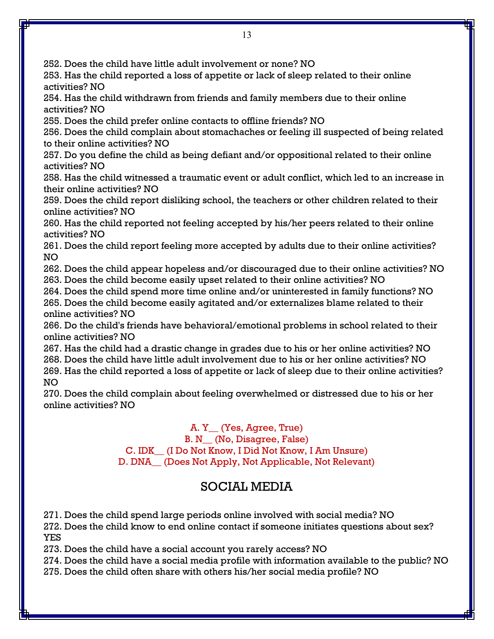252. Does the child have little adult involvement or none? NO

253. Has the child reported a loss of appetite or lack of sleep related to their online activities? NO

254. Has the child withdrawn from friends and family members due to their online activities? NO

255. Does the child prefer online contacts to offline friends? NO

256. Does the child complain about stomachaches or feeling ill suspected of being related to their online activities? NO

257. Do you define the child as being defiant and/or oppositional related to their online activities? NO

258. Has the child witnessed a traumatic event or adult conflict, which led to an increase in their online activities? NO

259. Does the child report disliking school, the teachers or other children related to their online activities? NO

260. Has the child reported not feeling accepted by his/her peers related to their online activities? NO

261. Does the child report feeling more accepted by adults due to their online activities? NO

262. Does the child appear hopeless and/or discouraged due to their online activities? NO 263. Does the child become easily upset related to their online activities? NO

264. Does the child spend more time online and/or uninterested in family functions? NO 265. Does the child become easily agitated and/or externalizes blame related to their online activities? NO

266. Do the child's friends have behavioral/emotional problems in school related to their online activities? NO

267. Has the child had a drastic change in grades due to his or her online activities? NO 268. Does the child have little adult involvement due to his or her online activities? NO 269. Has the child reported a loss of appetite or lack of sleep due to their online activities? NO

270. Does the child complain about feeling overwhelmed or distressed due to his or her online activities? NO

> A. Y\_\_ (Yes, Agree, True) B. N\_\_ (No, Disagree, False) C. IDK\_\_ (I Do Not Know, I Did Not Know, I Am Unsure) D. DNA\_\_ (Does Not Apply, Not Applicable, Not Relevant)

## SOCIAL MEDIA

271. Does the child spend large periods online involved with social media? NO

272. Does the child know to end online contact if someone initiates questions about sex? YES

273. Does the child have a social account you rarely access? NO

274. Does the child have a social media profile with information available to the public? NO

275. Does the child often share with others his/her social media profile? NO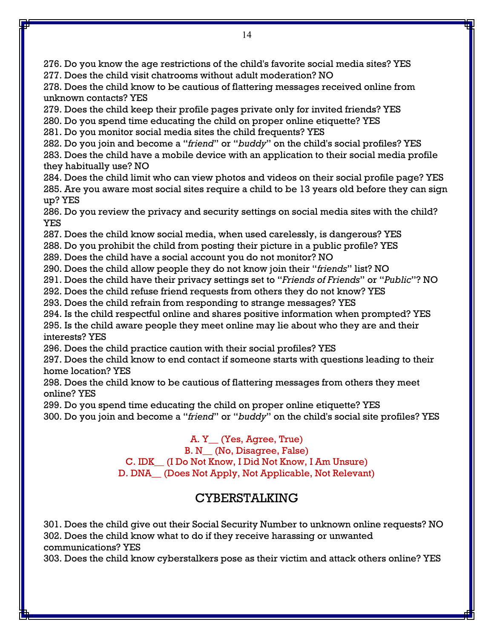276. Do you know the age restrictions of the child's favorite social media sites? YES 277. Does the child visit chatrooms without adult moderation? NO

278. Does the child know to be cautious of flattering messages received online from unknown contacts? YES

279. Does the child keep their profile pages private only for invited friends? YES

280. Do you spend time educating the child on proper online etiquette? YES

281. Do you monitor social media sites the child frequents? YES

282. Do you join and become a "*friend*" or "*buddy*" on the child's social profiles? YES

283. Does the child have a mobile device with an application to their social media profile they habitually use? NO

284. Does the child limit who can view photos and videos on their social profile page? YES 285. Are you aware most social sites require a child to be 13 years old before they can sign up? YES

286. Do you review the privacy and security settings on social media sites with the child? YES

287. Does the child know social media, when used carelessly, is dangerous? YES

288. Do you prohibit the child from posting their picture in a public profile? YES

289. Does the child have a social account you do not monitor? NO

290. Does the child allow people they do not know join their "*friends*" list? NO

291. Does the child have their privacy settings set to "*Friends of Friends*" or "*Public*"? NO

292. Does the child refuse friend requests from others they do not know? YES

293. Does the child refrain from responding to strange messages? YES

294. Is the child respectful online and shares positive information when prompted? YES

295. Is the child aware people they meet online may lie about who they are and their interests? YES

296. Does the child practice caution with their social profiles? YES

297. Does the child know to end contact if someone starts with questions leading to their home location? YES

298. Does the child know to be cautious of flattering messages from others they meet online? YES

299. Do you spend time educating the child on proper online etiquette? YES

300. Do you join and become a "*friend*" or "*buddy*" on the child's social site profiles? YES

A. Y\_\_ (Yes, Agree, True) B. N\_\_ (No, Disagree, False) C. IDK\_\_ (I Do Not Know, I Did Not Know, I Am Unsure) D. DNA\_\_ (Does Not Apply, Not Applicable, Not Relevant)

## CYBERSTALKING

301. Does the child give out their Social Security Number to unknown online requests? NO 302. Does the child know what to do if they receive harassing or unwanted communications? YES

303. Does the child know cyberstalkers pose as their victim and attack others online? YES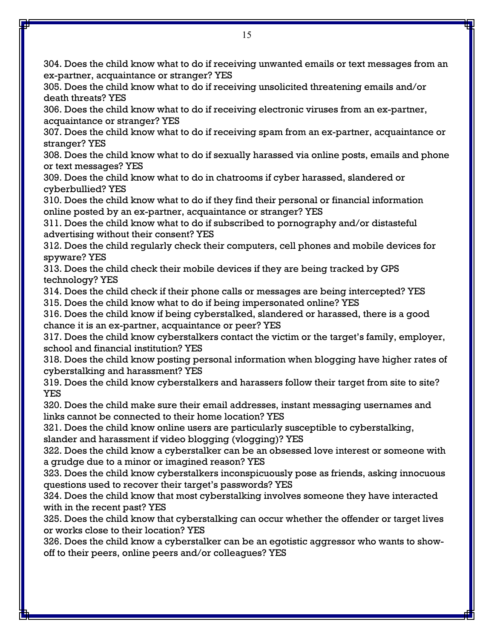304. Does the child know what to do if receiving unwanted emails or text messages from an ex-partner, acquaintance or stranger? YES

305. Does the child know what to do if receiving unsolicited threatening emails and/or death threats? YES

306. Does the child know what to do if receiving electronic viruses from an ex-partner, acquaintance or stranger? YES

307. Does the child know what to do if receiving spam from an ex-partner, acquaintance or stranger? YES

308. Does the child know what to do if sexually harassed via online posts, emails and phone or text messages? YES

309. Does the child know what to do in chatrooms if cyber harassed, slandered or cyberbullied? YES

310. Does the child know what to do if they find their personal or financial information online posted by an ex-partner, acquaintance or stranger? YES

311. Does the child know what to do if subscribed to pornography and/or distasteful advertising without their consent? YES

312. Does the child regularly check their computers, cell phones and mobile devices for spyware? YES

313. Does the child check their mobile devices if they are being tracked by GPS technology? YES

- 314. Does the child check if their phone calls or messages are being intercepted? YES
- 315. Does the child know what to do if being impersonated online? YES

316. Does the child know if being cyberstalked, slandered or harassed, there is a good chance it is an ex-partner, acquaintance or peer? YES

317. Does the child know cyberstalkers contact the victim or the target's family, employer, school and financial institution? YES

318. Does the child know posting personal information when blogging have higher rates of cyberstalking and harassment? YES

319. Does the child know cyberstalkers and harassers follow their target from site to site? YES

320. Does the child make sure their email addresses, instant messaging usernames and links cannot be connected to their home location? YES

321. Does the child know online users are particularly susceptible to cyberstalking, slander and harassment if video blogging (vlogging)? YES

322. Does the child know a cyberstalker can be an obsessed love interest or someone with a grudge due to a minor or imagined reason? YES

323. Does the child know cyberstalkers inconspicuously pose as friends, asking innocuous questions used to recover their target's passwords? YES

324. Does the child know that most cyberstalking involves someone they have interacted with in the recent past? YES

325. Does the child know that cyberstalking can occur whether the offender or target lives or works close to their location? YES

326. Does the child know a cyberstalker can be an egotistic aggressor who wants to showoff to their peers, online peers and/or colleagues? YES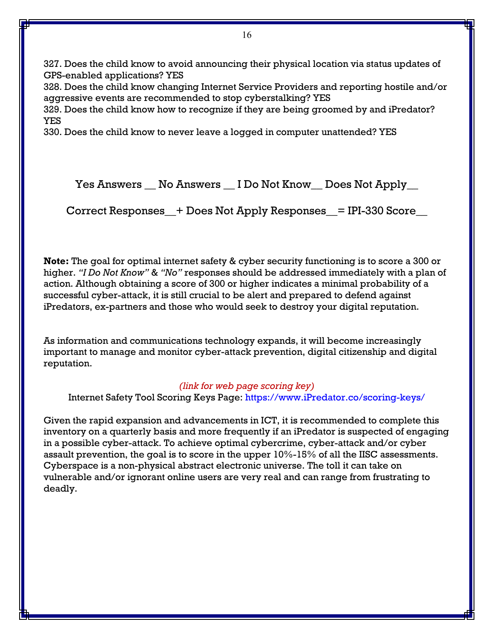327. Does the child know to avoid announcing their physical location via status updates of GPS-enabled applications? YES

328. Does the child know changing Internet Service Providers and reporting hostile and/or aggressive events are recommended to stop cyberstalking? YES

329. Does the child know how to recognize if they are being groomed by and iPredator? YES

330. Does the child know to never leave a logged in computer unattended? YES

Yes Answers \_\_ No Answers \_\_ I Do Not Know \_\_ Does Not Apply \_\_

Correct Responses\_\_+ Does Not Apply Responses\_\_= IPI-330 Score\_\_

**Note:** The goal for optimal internet safety & cyber security functioning is to score a 300 or higher. *"I Do Not Know"* & *"No"* responses should be addressed immediately with a plan of action. Although obtaining a score of 300 or higher indicates a minimal probability of a successful cyber-attack, it is still crucial to be alert and prepared to defend against iPredators, ex-partners and those who would seek to destroy your digital reputation.

As information and communications technology expands, it will become increasingly important to manage and monitor cyber-attack prevention, digital citizenship and digital reputation.

#### *(link for web page scoring key)*

Internet Safety Tool Scoring Keys Page: [https://www.iPredator.co/scoring-keys/](https://www.ipredator.co/scoring-keys/)

Given the rapid expansion and advancements in ICT, it is recommended to complete this inventory on a quarterly basis and more frequently if an iPredator is suspected of engaging in a possible cyber-attack. To achieve optimal cybercrime, cyber-attack and/or cyber assault prevention, the goal is to score in the upper 10%-15% of all the IISC assessments. Cyberspace is a non-physical abstract electronic universe. The toll it can take on vulnerable and/or ignorant online users are very real and can range from frustrating to deadly.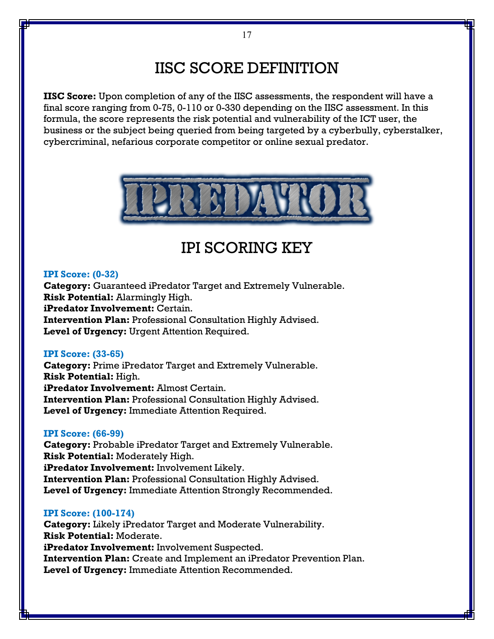# IISC SCORE DEFINITION

**IISC Score:** Upon completion of any of the IISC assessments, the respondent will have a final score ranging from 0-75, 0-110 or 0-330 depending on the IISC assessment. In this formula, the score represents the risk potential and vulnerability of the ICT user, the business or the subject being queried from being targeted by a cyberbully, cyberstalker, cybercriminal, nefarious corporate competitor or online sexual predator.



## IPI SCORING KEY

#### **IPI Score: (0-32)**

**Category:** Guaranteed iPredator Target and Extremely Vulnerable. **Risk Potential:** Alarmingly High. **iPredator Involvement:** Certain. **Intervention Plan:** Professional Consultation Highly Advised. **Level of Urgency:** Urgent Attention Required.

#### **IPI Score: (33-65)**

**Category:** Prime iPredator Target and Extremely Vulnerable. **Risk Potential:** High. **iPredator Involvement:** Almost Certain. **Intervention Plan:** Professional Consultation Highly Advised. **Level of Urgency:** Immediate Attention Required.

#### **IPI Score: (66-99)**

**Category:** Probable iPredator Target and Extremely Vulnerable. **Risk Potential:** Moderately High. **iPredator Involvement:** Involvement Likely. **Intervention Plan:** Professional Consultation Highly Advised. **Level of Urgency:** Immediate Attention Strongly Recommended.

#### **IPI Score: (100-174)**

**Category:** Likely iPredator Target and Moderate Vulnerability. **Risk Potential:** Moderate. **iPredator Involvement:** Involvement Suspected. **Intervention Plan:** Create and Implement an iPredator Prevention Plan. **Level of Urgency:** Immediate Attention Recommended.